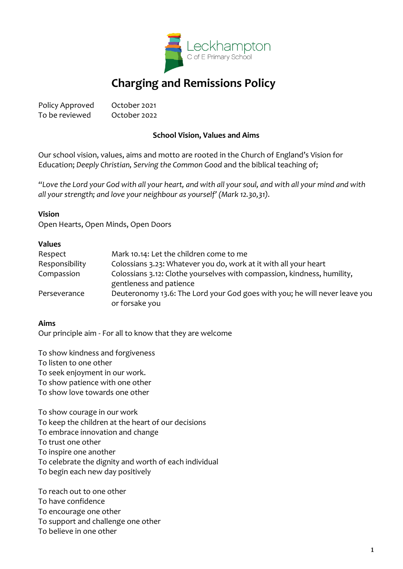

# **Charging and Remissions Policy**

Policy Approved October 2021 To be reviewed October 2022

## **School Vision, Values and Aims**

Our school vision, values, aims and motto are rooted in the Church of England's Vision for Education; *Deeply Christian, Serving the Common Good* and the biblical teaching of;

*"Love the Lord your God with all your heart, and with all your soul, and with all your mind and with all your strength; and love your neighbour as yourself' (Mark 12.30,31).*

#### **Vision**

Open Hearts, Open Minds, Open Doors

#### **Values**

| Respect        | Mark 10.14: Let the children come to me                                                            |
|----------------|----------------------------------------------------------------------------------------------------|
| Responsibility | Colossians 3.23: Whatever you do, work at it with all your heart                                   |
| Compassion     | Colossians 3.12: Clothe yourselves with compassion, kindness, humility,<br>gentleness and patience |
| Perseverance   | Deuteronomy 13.6: The Lord your God goes with you; he will never leave you<br>or forsake you       |
|                |                                                                                                    |

## **Aims**

Our principle aim - For all to know that they are welcome

To show kindness and forgiveness To listen to one other To seek enjoyment in our work. To show patience with one other To show love towards one other

To show courage in our work To keep the children at the heart of our decisions To embrace innovation and change To trust one other To inspire one another To celebrate the dignity and worth of each individual To begin each new day positively

To reach out to one other To have confidence To encourage one other To support and challenge one other To believe in one other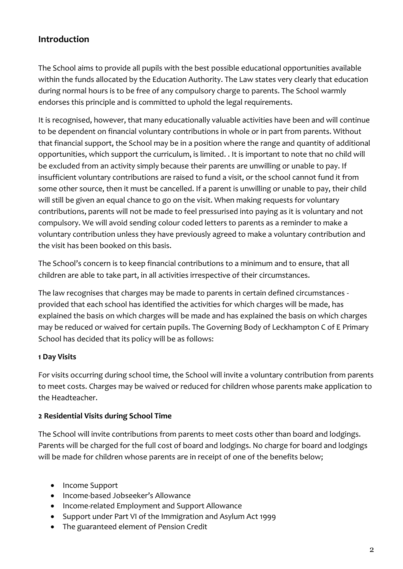## **Introduction**

The School aims to provide all pupils with the best possible educational opportunities available within the funds allocated by the Education Authority. The Law states very clearly that education during normal hours is to be free of any compulsory charge to parents. The School warmly endorses this principle and is committed to uphold the legal requirements.

It is recognised, however, that many educationally valuable activities have been and will continue to be dependent on financial voluntary contributions in whole or in part from parents. Without that financial support, the School may be in a position where the range and quantity of additional opportunities, which support the curriculum, is limited. . It is important to note that no child will be excluded from an activity simply because their parents are unwilling or unable to pay. If insufficient voluntary contributions are raised to fund a visit, or the school cannot fund it from some other source, then it must be cancelled. If a parent is unwilling or unable to pay, their child will still be given an equal chance to go on the visit. When making requests for voluntary contributions, parents will not be made to feel pressurised into paying as it is voluntary and not compulsory. We will avoid sending colour coded letters to parents as a reminder to make a voluntary contribution unless they have previously agreed to make a voluntary contribution and the visit has been booked on this basis.

The School's concern is to keep financial contributions to a minimum and to ensure, that all children are able to take part, in all activities irrespective of their circumstances.

The law recognises that charges may be made to parents in certain defined circumstances provided that each school has identified the activities for which charges will be made, has explained the basis on which charges will be made and has explained the basis on which charges may be reduced or waived for certain pupils. The Governing Body of Leckhampton C of E Primary School has decided that its policy will be as follows:

## **1 Day Visits**

For visits occurring during school time, the School will invite a voluntary contribution from parents to meet costs. Charges may be waived or reduced for children whose parents make application to the Headteacher.

## **2 Residential Visits during School Time**

The School will invite contributions from parents to meet costs other than board and lodgings. Parents will be charged for the full cost of board and lodgings. No charge for board and lodgings will be made for children whose parents are in receipt of one of the benefits below;

- Income Support
- Income-based Jobseeker's Allowance
- Income-related Employment and Support Allowance
- Support under Part VI of the Immigration and Asylum Act 1999
- The guaranteed element of Pension Credit